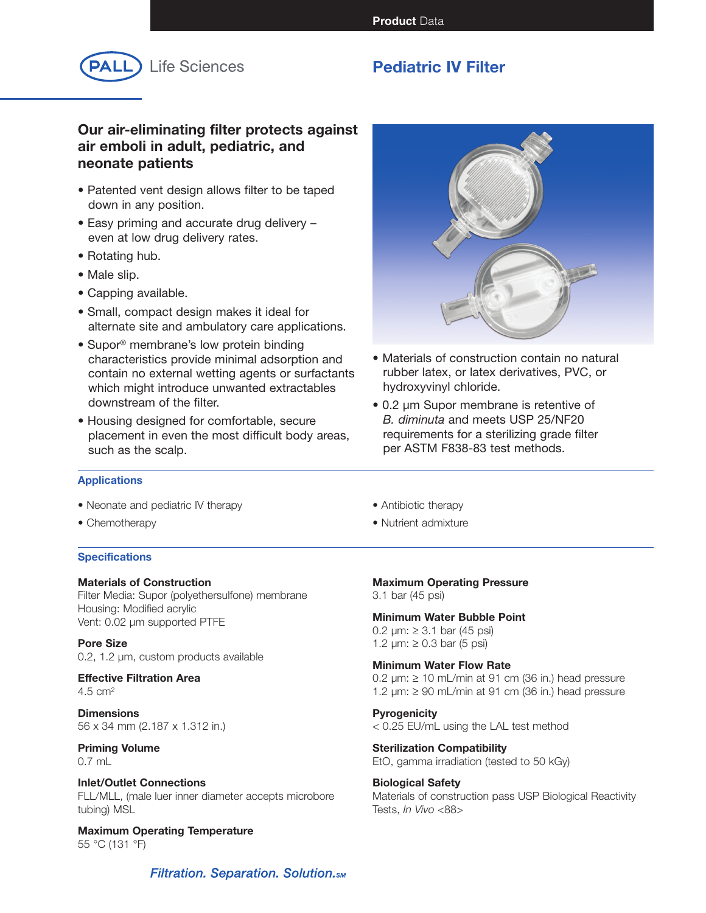**Product** Data



# **Pediatric IV Filter**

# **Our air-eliminating filter protects against air emboli in adult, pediatric, and neonate patients**

- Patented vent design allows filter to be taped down in any position.
- Easy priming and accurate drug delivery even at low drug delivery rates.
- Rotating hub.
- Male slip.
- Capping available.
- Small, compact design makes it ideal for alternate site and ambulatory care applications.
- Supor<sup>®</sup> membrane's low protein binding characteristics provide minimal adsorption and contain no external wetting agents or surfactants which might introduce unwanted extractables downstream of the filter.
- Housing designed for comfortable, secure placement in even the most difficult body areas, such as the scalp.



- Materials of construction contain no natural rubber latex, or latex derivatives, PVC, or hydroxyvinyl chloride.
- 0.2 µm Supor membrane is retentive of *B. diminuta* and meets USP 25/NF20 requirements for a sterilizing grade filter per ASTM F838-83 test methods.

## **Applications**

- Neonate and pediatric IV therapy
- Chemotherapy

## **Specifications**

## **Materials of Construction** Filter Media: Supor (polyethersulfone) membrane Housing: Modified acrylic Vent: 0.02 µm supported PTFE

**Pore Size** 0.2, 1.2 µm, custom products available

### **Effective Filtration Area** 4.5 cm2

**Dimensions** 56 x 34 mm (2.187 x 1.312 in.)

## **Priming Volume** 0.7 mL

## **Inlet/Outlet Connections** FLL/MLL, (male luer inner diameter accepts microbore tubing) MSL

**Maximum Operating Temperature** 55 °C (131 °F)

- Antibiotic therapy
- Nutrient admixture

**Maximum Operating Pressure**

3.1 bar (45 psi)

# **Minimum Water Bubble Point**

0.2  $\mu$ m: ≥ 3.1 bar (45 psi) 1.2  $\mu$ m: ≥ 0.3 bar (5 psi)

## **Minimum Water Flow Rate**

0.2  $\mu$ m: ≥ 10 mL/min at 91 cm (36 in.) head pressure 1.2  $\mu$ m:  $\geq$  90 mL/min at 91 cm (36 in.) head pressure

# **Pyrogenicity**

< 0.25 EU/mL using the LAL test method

**Sterilization Compatibility** EtO, gamma irradiation (tested to 50 kGy)

# **Biological Safety**

Materials of construction pass USP Biological Reactivity Tests, *In Vivo* <88>

**Filtration. Separation. Solution.**sm